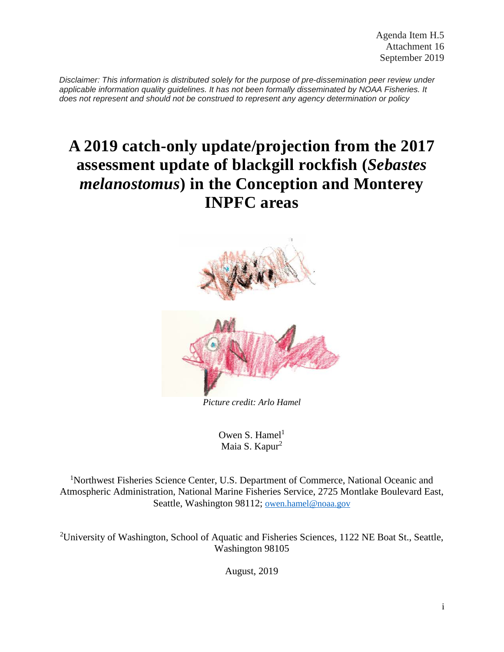*Disclaimer: This information is distributed solely for the purpose of pre-dissemination peer review under applicable information quality guidelines. It has not been formally disseminated by NOAA Fisheries. It does not represent and should not be construed to represent any agency determination or policy*

# **A 2019 catch-only update/projection from the 2017 assessment update of blackgill rockfish (***Sebastes melanostomus***) in the Conception and Monterey INPFC areas**



*Picture credit: Arlo Hamel*

Owen S. Hamel<sup>1</sup> Maia S. Kapur<sup>2</sup>

<sup>1</sup>Northwest Fisheries Science Center, U.S. Department of Commerce, National Oceanic and Atmospheric Administration, National Marine Fisheries Service, 2725 Montlake Boulevard East, Seattle, Washington 98112; [owen.hamel@noaa.gov](mailto:owen.hamel@noaa.gov)

<sup>2</sup>University of Washington, School of Aquatic and Fisheries Sciences, 1122 NE Boat St., Seattle, Washington 98105

August, 2019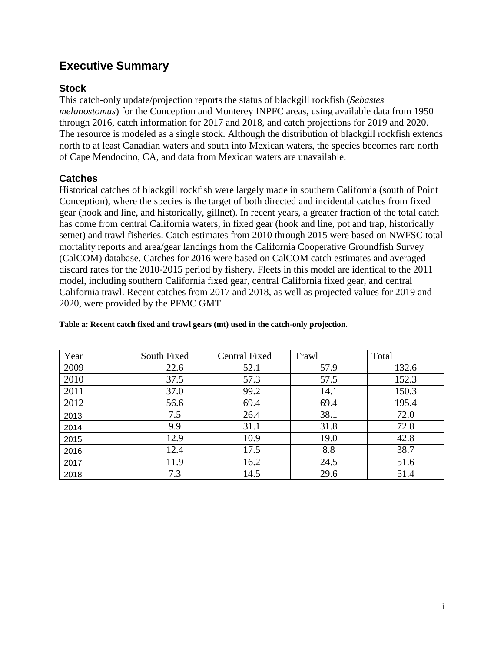# **Executive Summary**

## **Stock**

This catch-only update/projection reports the status of blackgill rockfish (*Sebastes melanostomus*) for the Conception and Monterey INPFC areas, using available data from 1950 through 2016, catch information for 2017 and 2018, and catch projections for 2019 and 2020. The resource is modeled as a single stock. Although the distribution of blackgill rockfish extends north to at least Canadian waters and south into Mexican waters, the species becomes rare north of Cape Mendocino, CA, and data from Mexican waters are unavailable.

## **Catches**

Historical catches of blackgill rockfish were largely made in southern California (south of Point Conception), where the species is the target of both directed and incidental catches from fixed gear (hook and line, and historically, gillnet). In recent years, a greater fraction of the total catch has come from central California waters, in fixed gear (hook and line, pot and trap, historically setnet) and trawl fisheries. Catch estimates from 2010 through 2015 were based on NWFSC total mortality reports and area/gear landings from the California Cooperative Groundfish Survey (CalCOM) database. Catches for 2016 were based on CalCOM catch estimates and averaged discard rates for the 2010-2015 period by fishery. Fleets in this model are identical to the 2011 model, including southern California fixed gear, central California fixed gear, and central California trawl. Recent catches from 2017 and 2018, as well as projected values for 2019 and 2020, were provided by the PFMC GMT.

| Year | South Fixed | Central Fixed | Trawl | Total |
|------|-------------|---------------|-------|-------|
| 2009 | 22.6        | 52.1          | 57.9  | 132.6 |
| 2010 | 37.5        | 57.3          | 57.5  | 152.3 |
| 2011 | 37.0        | 99.2          | 14.1  | 150.3 |
| 2012 | 56.6        | 69.4          | 69.4  | 195.4 |
| 2013 | 7.5         | 26.4          | 38.1  | 72.0  |
| 2014 | 9.9         | 31.1          | 31.8  | 72.8  |
| 2015 | 12.9        | 10.9          | 19.0  | 42.8  |
| 2016 | 12.4        | 17.5          | 8.8   | 38.7  |
| 2017 | 11.9        | 16.2          | 24.5  | 51.6  |
| 2018 | 7.3         | 14.5          | 29.6  | 51.4  |

#### **Table a: Recent catch fixed and trawl gears (mt) used in the catch-only projection.**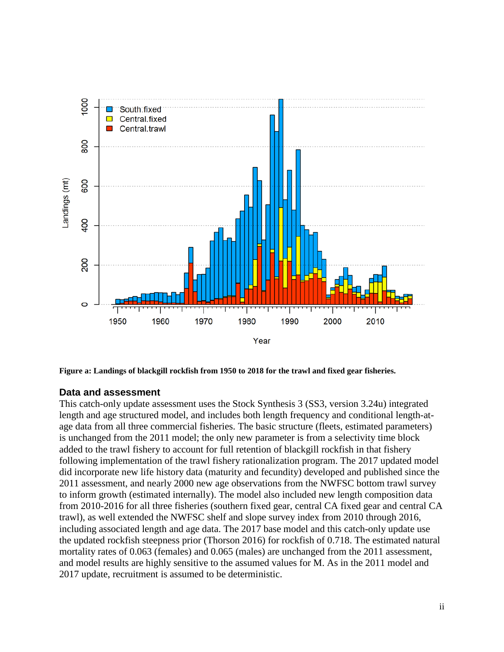

**Figure a: Landings of blackgill rockfish from 1950 to 2018 for the trawl and fixed gear fisheries.**

#### **Data and assessment**

This catch-only update assessment uses the Stock Synthesis 3 (SS3, version 3.24u) integrated length and age structured model, and includes both length frequency and conditional length-atage data from all three commercial fisheries. The basic structure (fleets, estimated parameters) is unchanged from the 2011 model; the only new parameter is from a selectivity time block added to the trawl fishery to account for full retention of blackgill rockfish in that fishery following implementation of the trawl fishery rationalization program. The 2017 updated model did incorporate new life history data (maturity and fecundity) developed and published since the 2011 assessment, and nearly 2000 new age observations from the NWFSC bottom trawl survey to inform growth (estimated internally). The model also included new length composition data from 2010-2016 for all three fisheries (southern fixed gear, central CA fixed gear and central CA trawl), as well extended the NWFSC shelf and slope survey index from 2010 through 2016, including associated length and age data. The 2017 base model and this catch-only update use the updated rockfish steepness prior (Thorson 2016) for rockfish of 0.718. The estimated natural mortality rates of 0.063 (females) and 0.065 (males) are unchanged from the 2011 assessment, and model results are highly sensitive to the assumed values for M. As in the 2011 model and 2017 update, recruitment is assumed to be deterministic.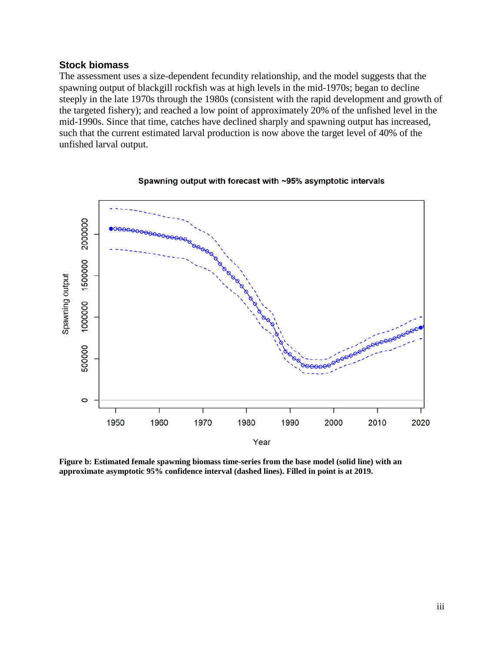#### **Stock biomass**

The assessment uses a size-dependent fecundity relationship, and the model suggests that the spawning output of blackgill rockfish was at high levels in the mid-1970s; began to decline steeply in the late 1970s through the 1980s (consistent with the rapid development and growth of the targeted fishery); and reached a low point of approximately 20% of the unfished level in the mid-1990s. Since that time, catches have declined sharply and spawning output has increased, such that the current estimated larval production is now above the target level of 40% of the unfished larval output.



#### Spawning output with forecast with ~95% asymptotic intervals

**Figure b: Estimated female spawning biomass time-series from the base model (solid line) with an approximate asymptotic 95% confidence interval (dashed lines). Filled in point is at 2019.**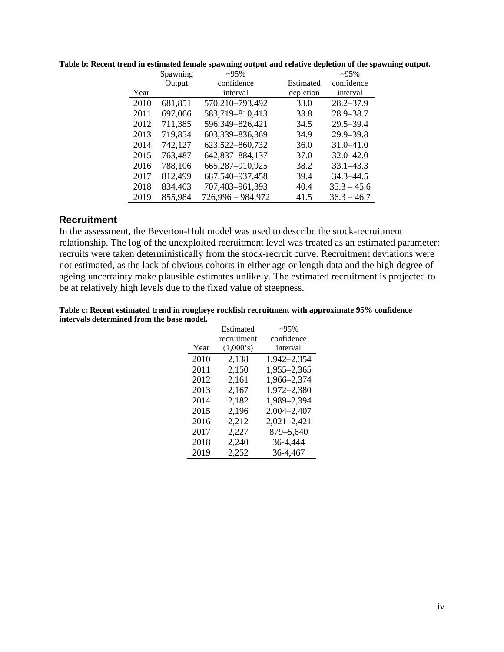|      | Spawning | $-95%$            |           | $-95%$        |
|------|----------|-------------------|-----------|---------------|
|      | Output   | confidence        | Estimated | confidence    |
| Year |          | interval          | depletion | interval      |
| 2010 | 681,851  | 570,210-793,492   | 33.0      | $28.2 - 37.9$ |
| 2011 | 697,066  | 583,719-810,413   | 33.8      | $28.9 - 38.7$ |
| 2012 | 711,385  | 596,349-826,421   | 34.5      | $29.5 - 39.4$ |
| 2013 | 719,854  | 603,339-836,369   | 34.9      | $29.9 - 39.8$ |
| 2014 | 742,127  | 623,522-860,732   | 36.0      | $31.0 - 41.0$ |
| 2015 | 763,487  | 642,837-884,137   | 37.0      | $32.0 - 42.0$ |
| 2016 | 788,106  | 665,287-910,925   | 38.2      | $33.1 - 43.3$ |
| 2017 | 812,499  | 687,540-937,458   | 39.4      | $34.3 - 44.5$ |
| 2018 | 834,403  | 707,403-961,393   | 40.4      | $35.3 - 45.6$ |
| 2019 | 855,984  | 726,996 - 984,972 | 41.5      | $36.3 - 46.7$ |

**Table b: Recent trend in estimated female spawning output and relative depletion of the spawning output.**

### **Recruitment**

In the assessment, the Beverton-Holt model was used to describe the stock-recruitment relationship. The log of the unexploited recruitment level was treated as an estimated parameter; recruits were taken deterministically from the stock-recruit curve. Recruitment deviations were not estimated, as the lack of obvious cohorts in either age or length data and the high degree of ageing uncertainty make plausible estimates unlikely. The estimated recruitment is projected to be at relatively high levels due to the fixed value of steepness.

| Table c: Recent estimated trend in rougheye rockfish recruitment with approximate 95% confidence |
|--------------------------------------------------------------------------------------------------|
| intervals determined from the base model.                                                        |

|      | Estimated   | $-95%$          |
|------|-------------|-----------------|
|      | recruitment | confidence      |
| Year | (1,000's)   | interval        |
| 2010 | 2,138       | 1,942-2,354     |
| 2011 | 2,150       | 1,955-2,365     |
| 2012 | 2,161       | 1,966-2,374     |
| 2013 | 2,167       | 1,972-2,380     |
| 2014 | 2,182       | 1,989-2,394     |
| 2015 | 2,196       | 2,004-2,407     |
| 2016 | 2,212       | $2,021 - 2,421$ |
| 2017 | 2,227       | 879-5,640       |
| 2018 | 2,240       | 36-4,444        |
| 2019 | 2,252       | 36-4,467        |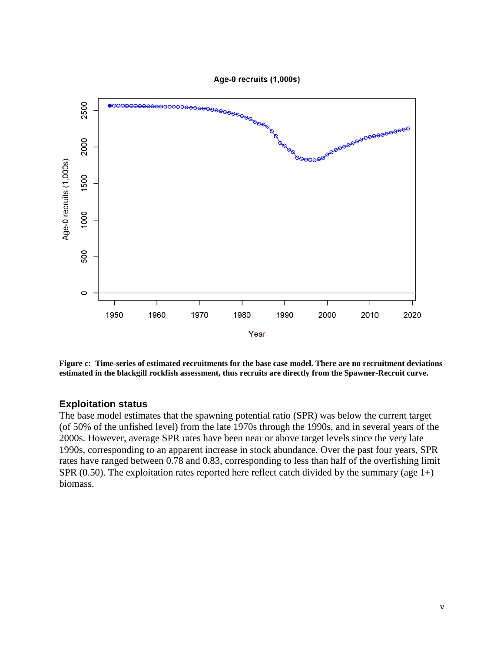

**Figure c: Time-series of estimated recruitments for the base case model. There are no recruitment deviations estimated in the blackgill rockfish assessment, thus recruits are directly from the Spawner-Recruit curve.** 

#### **Exploitation status**

The base model estimates that the spawning potential ratio (SPR) was below the current target (of 50% of the unfished level) from the late 1970s through the 1990s, and in several years of the 2000s. However, average SPR rates have been near or above target levels since the very late 1990s, corresponding to an apparent increase in stock abundance. Over the past four years, SPR rates have ranged between 0.78 and 0.83, corresponding to less than half of the overfishing limit SPR  $(0.50)$ . The exploitation rates reported here reflect catch divided by the summary (age 1+) biomass.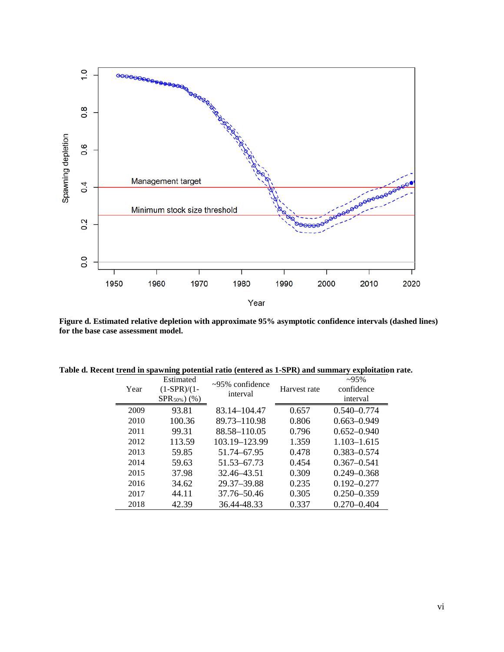

**Figure d. Estimated relative depletion with approximate 95% asymptotic confidence intervals (dashed lines) for the base case assessment model.**

| Table d. Recent trend in spawning potential ratio (entered as 1-SPR) and summary exploitation rate. |  |  |  |  |  |  |
|-----------------------------------------------------------------------------------------------------|--|--|--|--|--|--|
|-----------------------------------------------------------------------------------------------------|--|--|--|--|--|--|

| Year | Estimated<br>$(1-SPR)/(1-$<br>$SPR_{50\%}$ (%) | $\approx 95\%$ confidence<br>interval | Harvest rate | $-95%$<br>confidence<br>interval |
|------|------------------------------------------------|---------------------------------------|--------------|----------------------------------|
| 2009 | 93.81                                          | 83.14–104.47                          | 0.657        | $0.540 - 0.774$                  |
| 2010 | 100.36                                         | 89.73-110.98                          | 0.806        | $0.663 - 0.949$                  |
| 2011 | 99.31                                          | 88.58-110.05                          | 0.796        | $0.652 - 0.940$                  |
| 2012 | 113.59                                         | 103.19–123.99                         | 1.359        | $1.103 - 1.615$                  |
| 2013 | 59.85                                          | 51.74-67.95                           | 0.478        | $0.383 - 0.574$                  |
| 2014 | 59.63                                          | 51.53–67.73                           | 0.454        | $0.367 - 0.541$                  |
| 2015 | 37.98                                          | 32.46–43.51                           | 0.309        | $0.249 - 0.368$                  |
| 2016 | 34.62                                          | 29.37-39.88                           | 0.235        | $0.192 - 0.277$                  |
| 2017 | 44.11                                          | 37.76-50.46                           | 0.305        | $0.250 - 0.359$                  |
| 2018 | 42.39                                          | 36.44-48.33                           | 0.337        | $0.270 - 0.404$                  |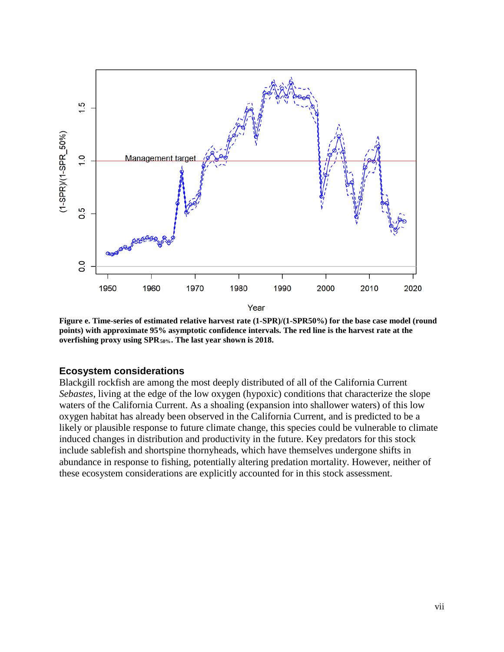

**Figure e. Time-series of estimated relative harvest rate (1-SPR)/(1-SPR50%) for the base case model (round points) with approximate 95% asymptotic confidence intervals. The red line is the harvest rate at the overfishing proxy using SPR50%. The last year shown is 2018.** 

#### **Ecosystem considerations**

Blackgill rockfish are among the most deeply distributed of all of the California Current *Sebastes*, living at the edge of the low oxygen (hypoxic) conditions that characterize the slope waters of the California Current. As a shoaling (expansion into shallower waters) of this low oxygen habitat has already been observed in the California Current, and is predicted to be a likely or plausible response to future climate change, this species could be vulnerable to climate induced changes in distribution and productivity in the future. Key predators for this stock include sablefish and shortspine thornyheads, which have themselves undergone shifts in abundance in response to fishing, potentially altering predation mortality. However, neither of these ecosystem considerations are explicitly accounted for in this stock assessment.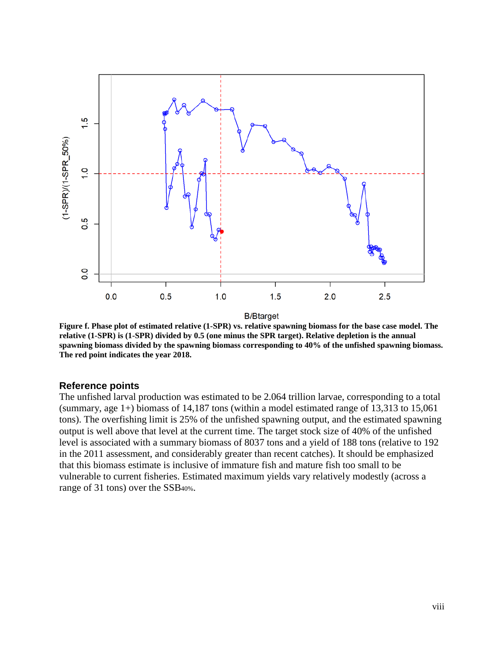

**Figure f. Phase plot of estimated relative (1-SPR) vs. relative spawning biomass for the base case model. The relative (1-SPR) is (1-SPR) divided by 0.5 (one minus the SPR target). Relative depletion is the annual spawning biomass divided by the spawning biomass corresponding to 40% of the unfished spawning biomass. The red point indicates the year 2018.**

#### **Reference points**

The unfished larval production was estimated to be 2.064 trillion larvae, corresponding to a total (summary, age 1+) biomass of 14,187 tons (within a model estimated range of 13,313 to 15,061 tons). The overfishing limit is 25% of the unfished spawning output, and the estimated spawning output is well above that level at the current time. The target stock size of 40% of the unfished level is associated with a summary biomass of 8037 tons and a yield of 188 tons (relative to 192 in the 2011 assessment, and considerably greater than recent catches). It should be emphasized that this biomass estimate is inclusive of immature fish and mature fish too small to be vulnerable to current fisheries. Estimated maximum yields vary relatively modestly (across a range of 31 tons) over the SSB40%.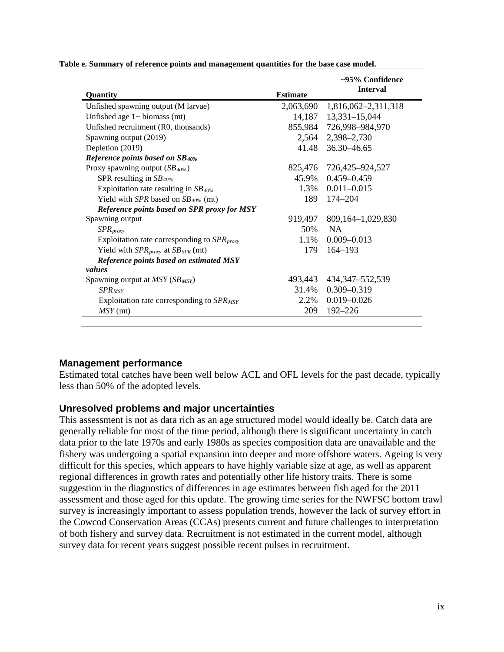| Quantity                                                  | <b>Estimate</b> | $\sim$ 95% Confidence<br><b>Interval</b> |
|-----------------------------------------------------------|-----------------|------------------------------------------|
| Unfished spawning output (M larvae)                       | 2,063,690       | 1,816,062-2,311,318                      |
| Unfished age $1+$ biomass (mt)                            |                 | 14,187 13,331-15,044                     |
| Unfished recruitment (R0, thousands)                      | 855,984         | 726,998–984,970                          |
| Spawning output (2019)                                    | 2,564           | 2,398-2,730                              |
| Depletion (2019)                                          |                 | 41.48 36.30 - 46.65                      |
| Reference points based on SB40%                           |                 |                                          |
| Proxy spawning output (SB <sub>40%</sub> )                | 825,476         | 726,425–924,527                          |
| SPR resulting in $SB$ <sub>40%</sub>                      | 45.9%           | $0.459 - 0.459$                          |
| Exploitation rate resulting in $SB$ <sub>40%</sub>        | 1.3%            | $0.011 - 0.015$                          |
| Yield with SPR based on $SB_{40\%}$ (mt)                  | 189             | 174–204                                  |
| Reference points based on SPR proxy for MSY               |                 |                                          |
| Spawning output                                           | 919,497         | 809, 164 - 1, 029, 830                   |
| $SPR_{\text{proxy}}$                                      | 50%             | <b>NA</b>                                |
| Exploitation rate corresponding to $SPR_{\text{prox}}$    | 1.1%            | $0.009 - 0.013$                          |
| Yield with $SPR_{\text{proxy}}$ at $SB_{\text{SPR}}$ (mt) | 179             | $164 - 193$                              |
| Reference points based on estimated MSY                   |                 |                                          |
| values                                                    |                 |                                          |
| Spawning output at $MSY(SB_{MSY})$                        | 493,443         | 434,347–552,539                          |
| $SPR_{MSY}$                                               | 31.4%           | $0.309 - 0.319$                          |
| Exploitation rate corresponding to $SPR_{MSY}$            | 2.2%            | $0.019 - 0.026$                          |
| $MSY$ (mt)                                                | 209             | $192 - 226$                              |

**Table e. Summary of reference points and management quantities for the base case model.**

## **Management performance**

Estimated total catches have been well below ACL and OFL levels for the past decade, typically less than 50% of the adopted levels.

#### **Unresolved problems and major uncertainties**

This assessment is not as data rich as an age structured model would ideally be. Catch data are generally reliable for most of the time period, although there is significant uncertainty in catch data prior to the late 1970s and early 1980s as species composition data are unavailable and the fishery was undergoing a spatial expansion into deeper and more offshore waters. Ageing is very difficult for this species, which appears to have highly variable size at age, as well as apparent regional differences in growth rates and potentially other life history traits. There is some suggestion in the diagnostics of differences in age estimates between fish aged for the 2011 assessment and those aged for this update. The growing time series for the NWFSC bottom trawl survey is increasingly important to assess population trends, however the lack of survey effort in the Cowcod Conservation Areas (CCAs) presents current and future challenges to interpretation of both fishery and survey data. Recruitment is not estimated in the current model, although survey data for recent years suggest possible recent pulses in recruitment.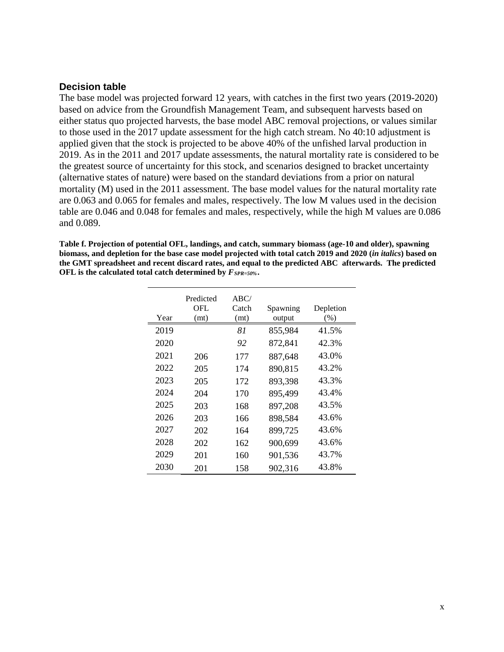#### **Decision table**

The base model was projected forward 12 years, with catches in the first two years (2019-2020) based on advice from the Groundfish Management Team, and subsequent harvests based on either status quo projected harvests, the base model ABC removal projections, or values similar to those used in the 2017 update assessment for the high catch stream. No 40:10 adjustment is applied given that the stock is projected to be above 40% of the unfished larval production in 2019. As in the 2011 and 2017 update assessments, the natural mortality rate is considered to be the greatest source of uncertainty for this stock, and scenarios designed to bracket uncertainty (alternative states of nature) were based on the standard deviations from a prior on natural mortality (M) used in the 2011 assessment. The base model values for the natural mortality rate are 0.063 and 0.065 for females and males, respectively. The low M values used in the decision table are 0.046 and 0.048 for females and males, respectively, while the high M values are 0.086 and 0.089.

**Table f. Projection of potential OFL, landings, and catch, summary biomass (age-10 and older), spawning biomass, and depletion for the base case model projected with total catch 2019 and 2020 (***in italics***) based on the GMT spreadsheet and recent discard rates, and equal to the predicted ABC afterwards. The predicted OFL is the calculated total catch determined by** *FSPR=50%***.**

| Year | Predicted<br>OFL<br>(mt) | ABC/<br>Catch<br>(mt) | Spawning<br>output | Depletion<br>$(\%)$ |
|------|--------------------------|-----------------------|--------------------|---------------------|
| 2019 |                          | 81                    | 855,984            | 41.5%               |
| 2020 |                          | 92                    | 872,841            | 42.3%               |
| 2021 | 206                      | 177                   | 887,648            | 43.0%               |
| 2022 | 205                      | 174                   | 890,815            | 43.2%               |
| 2023 | 205                      | 172                   | 893,398            | 43.3%               |
| 2024 | 204                      | 170                   | 895,499            | 43.4%               |
| 2025 | 203                      | 168                   | 897,208            | 43.5%               |
| 2026 | 203                      | 166                   | 898,584            | 43.6%               |
| 2027 | 202                      | 164                   | 899,725            | 43.6%               |
| 2028 | 202                      | 162                   | 900,699            | 43.6%               |
| 2029 | 201                      | 160                   | 901,536            | 43.7%               |
| 2030 | 201                      | 158                   | 902,316            | 43.8%               |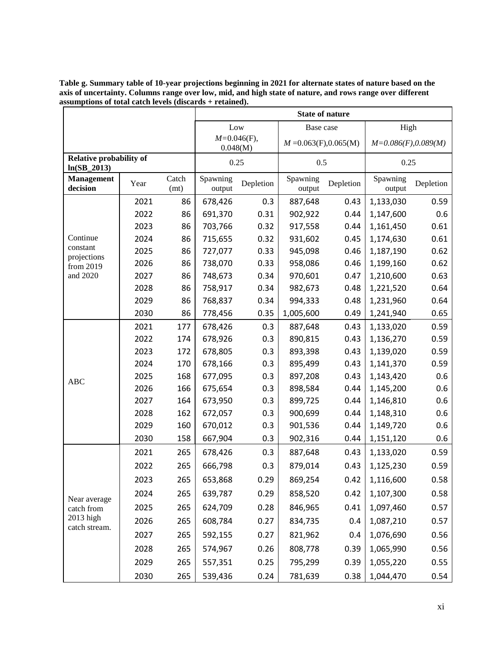|                                                 |      |               |                            | Low       | Base case                       |      | High                   |           |
|-------------------------------------------------|------|---------------|----------------------------|-----------|---------------------------------|------|------------------------|-----------|
|                                                 |      |               | $M=0.046(F)$ ,<br>0.048(M) |           | $M = 0.063(F), 0.065(M)$        |      | $M=0.086(F), 0.089(M)$ |           |
| <b>Relative probability of</b><br>$ln(SB_2013)$ |      |               | 0.25                       | 0.5       |                                 | 0.25 |                        |           |
| <b>Management</b><br>decision                   | Year | Catch<br>(mt) | Spawning<br>output         | Depletion | Spawning<br>Depletion<br>output |      | Spawning<br>output     | Depletion |
|                                                 | 2021 | 86            | 678,426                    | 0.3       | 887,648                         | 0.43 | 1,133,030              | 0.59      |
|                                                 | 2022 | 86            | 691,370                    | 0.31      | 902,922                         | 0.44 | 1,147,600              | 0.6       |
|                                                 | 2023 | 86            | 703,766                    | 0.32      | 917,558                         | 0.44 | 1,161,450              | 0.61      |
| Continue                                        | 2024 | 86            | 715,655                    | 0.32      | 931,602                         | 0.45 | 1,174,630              | 0.61      |
| constant<br>projections                         | 2025 | 86            | 727,077                    | 0.33      | 945,098                         | 0.46 | 1,187,190              | 0.62      |
| from 2019                                       | 2026 | 86            | 738,070                    | 0.33      | 958,086                         | 0.46 | 1,199,160              | 0.62      |
| and 2020                                        | 2027 | 86            | 748,673                    | 0.34      | 970,601                         | 0.47 | 1,210,600              | 0.63      |
|                                                 | 2028 | 86            | 758,917                    | 0.34      | 982,673                         | 0.48 | 1,221,520              | 0.64      |
|                                                 | 2029 | 86            | 768,837                    | 0.34      | 994,333                         | 0.48 | 1,231,960              | 0.64      |
|                                                 | 2030 | 86            | 778,456                    | 0.35      | 1,005,600                       | 0.49 | 1,241,940              | 0.65      |
|                                                 | 2021 | 177           | 678,426                    | 0.3       | 887,648                         | 0.43 | 1,133,020              | 0.59      |
|                                                 | 2022 | 174           | 678,926                    | 0.3       | 890,815                         | 0.43 | 1,136,270              | 0.59      |
|                                                 | 2023 | 172           | 678,805                    | 0.3       | 893,398                         | 0.43 | 1,139,020              | 0.59      |
|                                                 | 2024 | 170           | 678,166                    | 0.3       | 895,499                         | 0.43 | 1,141,370              | 0.59      |
| <b>ABC</b>                                      | 2025 | 168           | 677,095                    | 0.3       | 897,208                         | 0.43 | 1,143,420              | 0.6       |
|                                                 | 2026 | 166           | 675,654                    | 0.3       | 898,584                         | 0.44 | 1,145,200              | 0.6       |
|                                                 | 2027 | 164           | 673,950                    | 0.3       | 899,725                         | 0.44 | 1,146,810              | 0.6       |
|                                                 | 2028 | 162           | 672,057                    | 0.3       | 900,699                         | 0.44 | 1,148,310              | 0.6       |
|                                                 | 2029 | 160           | 670,012                    | 0.3       | 901,536                         | 0.44 | 1,149,720              | 0.6       |
|                                                 | 2030 | 158           | 667,904                    | 0.3       | 902,316                         | 0.44 | 1,151,120              | 0.6       |
|                                                 | 2021 | 265           | 678,426                    | 0.3       | 887,648                         | 0.43 | 1,133,020              | 0.59      |
|                                                 | 2022 | 265           | 666,798                    | 0.3       | 879,014                         | 0.43 | 1,125,230              | 0.59      |
|                                                 | 2023 | 265           | 653,868                    | 0.29      | 869,254                         | 0.42 | 1,116,600              | 0.58      |
|                                                 | 2024 | 265           | 639,787                    | 0.29      | 858,520                         | 0.42 | 1,107,300              | 0.58      |
| Near average<br>catch from                      | 2025 | 265           | 624,709                    | 0.28      | 846,965                         | 0.41 | 1,097,460              | 0.57      |
| 2013 high                                       | 2026 | 265           | 608,784                    | 0.27      | 834,735                         | 0.4  | 1,087,210              | 0.57      |
| catch stream.                                   | 2027 | 265           | 592,155                    | 0.27      | 821,962                         | 0.4  | 1,076,690              | 0.56      |
|                                                 | 2028 | 265           | 574,967                    | 0.26      | 808,778                         | 0.39 | 1,065,990              | 0.56      |
|                                                 | 2029 | 265           | 557,351                    | 0.25      | 795,299                         | 0.39 | 1,055,220              | 0.55      |
|                                                 | 2030 | 265           | 539,436                    | 0.24      | 781,639                         | 0.38 | 1,044,470              | 0.54      |

**Table g. Summary table of 10-year projections beginning in 2021 for alternate states of nature based on the axis of uncertainty. Columns range over low, mid, and high state of nature, and rows range over different assumptions of total catch levels (discards + retained).**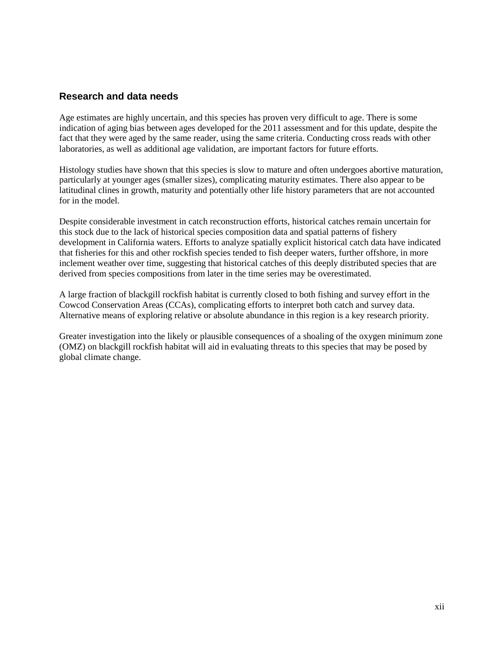### **Research and data needs**

Age estimates are highly uncertain, and this species has proven very difficult to age. There is some indication of aging bias between ages developed for the 2011 assessment and for this update, despite the fact that they were aged by the same reader, using the same criteria. Conducting cross reads with other laboratories, as well as additional age validation, are important factors for future efforts.

Histology studies have shown that this species is slow to mature and often undergoes abortive maturation, particularly at younger ages (smaller sizes), complicating maturity estimates. There also appear to be latitudinal clines in growth, maturity and potentially other life history parameters that are not accounted for in the model.

Despite considerable investment in catch reconstruction efforts, historical catches remain uncertain for this stock due to the lack of historical species composition data and spatial patterns of fishery development in California waters. Efforts to analyze spatially explicit historical catch data have indicated that fisheries for this and other rockfish species tended to fish deeper waters, further offshore, in more inclement weather over time, suggesting that historical catches of this deeply distributed species that are derived from species compositions from later in the time series may be overestimated.

A large fraction of blackgill rockfish habitat is currently closed to both fishing and survey effort in the Cowcod Conservation Areas (CCAs), complicating efforts to interpret both catch and survey data. Alternative means of exploring relative or absolute abundance in this region is a key research priority.

Greater investigation into the likely or plausible consequences of a shoaling of the oxygen minimum zone (OMZ) on blackgill rockfish habitat will aid in evaluating threats to this species that may be posed by global climate change.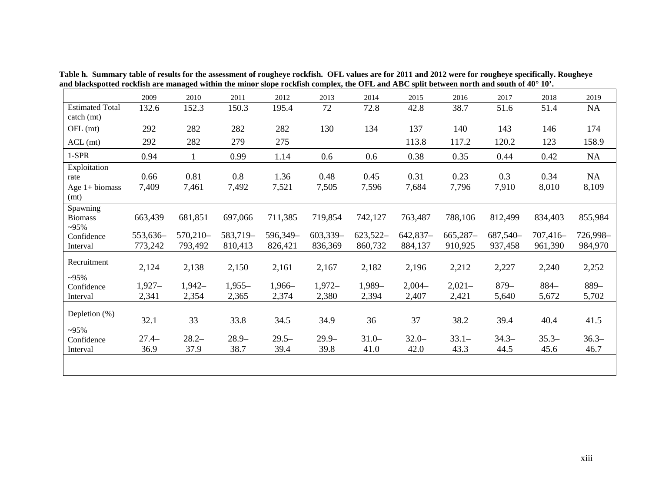|                                                  | 2009                | 2010                | 2011                | 2012                | 2013                | 2014                | 2015                | 2016                  | 2017                | 2018                  | 2019                |
|--------------------------------------------------|---------------------|---------------------|---------------------|---------------------|---------------------|---------------------|---------------------|-----------------------|---------------------|-----------------------|---------------------|
| <b>Estimated Total</b><br>catch (mt)             | 132.6               | 152.3               | 150.3               | 195.4               | 72                  | 72.8                | 42.8                | 38.7                  | 51.6                | 51.4                  | NA                  |
| OFL (mt)                                         | 292                 | 282                 | 282                 | 282                 | 130                 | 134                 | 137                 | 140                   | 143                 | 146                   | 174                 |
| $ACL$ (mt)                                       | 292                 | 282                 | 279                 | 275                 |                     |                     | 113.8               | 117.2                 | 120.2               | 123                   | 158.9               |
| $1-SPR$                                          | 0.94                |                     | 0.99                | 1.14                | 0.6                 | 0.6                 | 0.38                | 0.35                  | 0.44                | 0.42                  | NA                  |
| Exploitation<br>rate<br>Age $1+$ biomass<br>(mt) | 0.66<br>7,409       | 0.81<br>7,461       | 0.8<br>7,492        | 1.36<br>7,521       | 0.48<br>7,505       | 0.45<br>7,596       | 0.31<br>7,684       | 0.23<br>7,796         | 0.3<br>7,910        | 0.34<br>8,010         | NA<br>8,109         |
| Spawning<br><b>Biomass</b><br>$~295\%$           | 663,439             | 681,851             | 697,066             | 711,385             | 719,854             | 742,127             | 763,487             | 788,106               | 812,499             | 834,403               | 855,984             |
| Confidence<br>Interval                           | 553,636-<br>773,242 | 570,210-<br>793,492 | 583,719-<br>810,413 | 596,349-<br>826,421 | 603,339-<br>836,369 | 623,522-<br>860,732 | 642,837-<br>884,137 | $665,287-$<br>910,925 | 687,540-<br>937,458 | $707,416-$<br>961,390 | 726,998-<br>984,970 |
| Recruitment<br>$-95%$                            | 2,124               | 2,138               | 2,150               | 2,161               | 2,167               | 2,182               | 2,196               | 2,212                 | 2,227               | 2,240                 | 2,252               |
| Confidence<br>Interval                           | $1,927-$<br>2,341   | $1,942-$<br>2,354   | $1,955-$<br>2,365   | $1,966-$<br>2,374   | $1,972-$<br>2,380   | $1,989-$<br>2,394   | $2,004-$<br>2,407   | $2,021-$<br>2,421     | $879-$<br>5,640     | $884-$<br>5,672       | 889-<br>5,702       |
| Depletion $(\%)$<br>$-95%$                       | 32.1                | 33                  | 33.8                | 34.5                | 34.9                | 36                  | 37                  | 38.2                  | 39.4                | 40.4                  | 41.5                |
| Confidence<br>Interval                           | $27.4-$<br>36.9     | $28.2 -$<br>37.9    | $28.9 -$<br>38.7    | $29.5-$<br>39.4     | $29.9 -$<br>39.8    | $31.0-$<br>41.0     | $32.0 -$<br>42.0    | $33.1 -$<br>43.3      | $34.3-$<br>44.5     | $35.3-$<br>45.6       | $36.3-$<br>46.7     |
|                                                  |                     |                     |                     |                     |                     |                     |                     |                       |                     |                       |                     |

**Table h. Summary table of results for the assessment of rougheye rockfish. OFL values are for 2011 and 2012 were for rougheye specifically. Rougheye and blackspotted rockfish are managed within the minor slope rockfish complex, the OFL and ABC split between north and south of 40° 10'.**